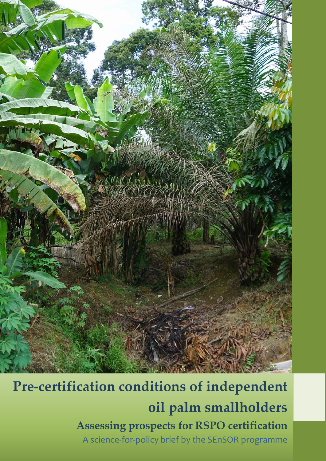

Independent smallholder heterogeneity: assessing differentiated prospects for RSPO certification

**Pre-certification conditions of independent oil palm smallholders Assessing prospects for RSPO certification** A science-for-policy brief by the SEnSOR programme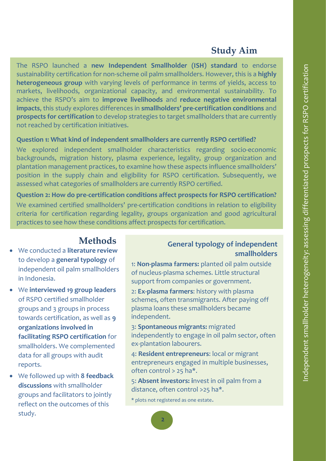## **Study Aim**

The RSPO launched a **new Independent Smallholder (ISH) standard** to endorse sustainability certification for non-scheme oil palm smallholders. However, this is a **highly heterogeneous group** with varying levels of performance in terms of yields, access to markets, livelihoods, organizational capacity, and environmental sustainability. To achieve the RSPO's aim to **improve livelihoods** and **reduce negative environmental impacts**, this study explores differences in **smallholders' pre-certification conditions** and **prospects for certification** to develop strategies to target smallholders that are currently not reached by certification initiatives.

### **Question 1: What kind of independent smallholders are currently RSPO certified?**

We explored independent smallholder characteristics regarding socio-economic backgrounds, migration history, plasma experience, legality, group organization and plantation management practices, to examine how these aspects influence smallholders' position in the supply chain and eligibility for RSPO certification. Subsequently, we assessed what categories of smallholders are currently RSPO certified.

**Question 2: How do pre-certification conditions affect prospects for RSPO certification?**  We examined certified smallholders' pre-certification conditions in relation to eligibility criteria for certification regarding legality, groups organization and good agricultural practices to see how these conditions affect prospects for certification.

# **Methods**

- We conducted a **literature review** to develop a **general typology** of independent oil palm smallholders in Indonesia.
- We **interviewed 19 group leaders** of RSPO certified smallholder groups and 3 groups in process towards certification, as well as **9 organizations involved in facilitating RSPO certification** for smallholders. We complemented data for all groups with audit reports.
- We followed up with **8 feedback discussions** with smallholder groups and facilitators to jointly reflect on the outcomes of this study.

### **General typology of independent smallholders**

1: **Non-plasma farmers:** planted oil palm outside of nucleus-plasma schemes. Little structural support from companies or government.

2: **Ex-plasma farmers**: history with plasma schemes, often transmigrants. After paying off plasma loans these smallholders became independent.

3: **Spontaneous migrants:** migrated independently to engage in oil palm sector, often ex-plantation labourers.

4: **Resident entrepreneurs**: local or migrant entrepreneurs engaged in multiple businesses, often control > 25 ha\*.

5: **Absent investors: i**nvest in oil palm from a distance, often control >25 ha\*.

\* plots not registered as one estate.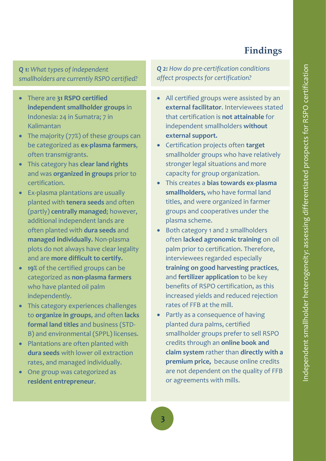## **Findings**

*Q 1: What types of independent smallholders are currently RSPO certified?*

- There are **31 RSPO certified independent smallholder groups** in Indonesia: 24 in Sumatra; 7 in Kalimantan
- The majority (77%) of these groups can be categorized as **ex-plasma farmers**, often transmigrants.
- This category has **clear land rights** and was **organized in groups** prior to certification.
- Ex-plasma plantations are usually planted with **tenera seeds** and often (partly) **centrally managed**; however, additional independent lands are often planted with **dura seeds** and **managed individually.** Non-plasma plots do not always have clear legality and are **more difficult to certify.**
- **19%** of the certified groups can be categorized as **non-plasma farmers** who have planted oil palm independently.
- This category experiences challenges to **organize in groups**, and often **lacks formal land titles** and business (STD-B) and environmental (SPPL) licenses.
- Plantations are often planted with **dura seeds** with lower oil extraction rates, and managed individually.
- One group was categorized as **resident entrepreneur**.

*Q 2: How do pre-certification conditions affect prospects for certification?* 

- All certified groups were assisted by an **external facilitator**. Interviewees stated that certification is **not attainable** for independent smallholders **without external support.**
- Certification projects often **target**  smallholder groups who have relatively stronger legal situations and more capacity for group organization.
- This creates a **bias towards ex-plasma smallholders,** who have formal land titles, and were organized in farmer groups and cooperatives under the plasma scheme.
- Both category 1 and 2 smallholders often **lacked agronomic training** on oil palm prior to certification. Therefore, interviewees regarded especially **training on good harvesting practices**, and **fertilizer application** to be key benefits of RSPO certification, as this increased yields and reduced rejection rates of FFB at the mill.
- Partly as a consequence of having planted dura palms, certified smallholder groups prefer to sell RSPO credits through an **online book and claim system** rather than **directly with a premium price,** because online credits are not dependent on the quality of FFB or agreements with mills.